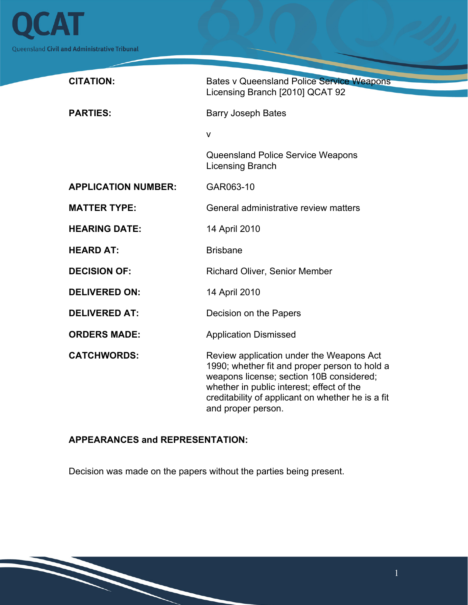

| <b>CITATION:</b>           | <b>Bates v Queensland Police Service Weapons</b><br>Licensing Branch [2010] QCAT 92                                                                                                                                                                           |
|----------------------------|---------------------------------------------------------------------------------------------------------------------------------------------------------------------------------------------------------------------------------------------------------------|
| <b>PARTIES:</b>            | <b>Barry Joseph Bates</b>                                                                                                                                                                                                                                     |
|                            | $\mathsf{V}$                                                                                                                                                                                                                                                  |
|                            | Queensland Police Service Weapons<br>Licensing Branch                                                                                                                                                                                                         |
| <b>APPLICATION NUMBER:</b> | GAR063-10                                                                                                                                                                                                                                                     |
| <b>MATTER TYPE:</b>        | General administrative review matters                                                                                                                                                                                                                         |
| <b>HEARING DATE:</b>       | 14 April 2010                                                                                                                                                                                                                                                 |
| <b>HEARD AT:</b>           | <b>Brisbane</b>                                                                                                                                                                                                                                               |
| <b>DECISION OF:</b>        | <b>Richard Oliver, Senior Member</b>                                                                                                                                                                                                                          |
| <b>DELIVERED ON:</b>       | 14 April 2010                                                                                                                                                                                                                                                 |
| <b>DELIVERED AT:</b>       | Decision on the Papers                                                                                                                                                                                                                                        |
| <b>ORDERS MADE:</b>        | <b>Application Dismissed</b>                                                                                                                                                                                                                                  |
| <b>CATCHWORDS:</b>         | Review application under the Weapons Act<br>1990; whether fit and proper person to hold a<br>weapons license; section 10B considered;<br>whether in public interest; effect of the<br>creditability of applicant on whether he is a fit<br>and proper person. |

## **APPEARANCES and REPRESENTATION:**

Decision was made on the papers without the parties being present.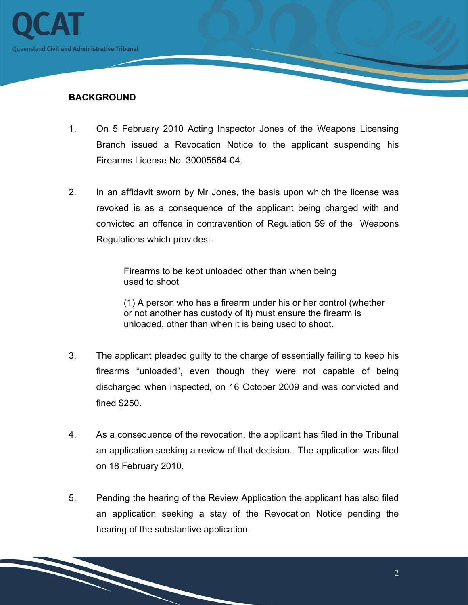

## **BACKGROUND**

- 1. On 5 February 2010 Acting Inspector Jones of the Weapons Licensing Branch issued a Revocation Notice to the applicant suspending his Firearms License No. 30005564-04.
- 2. In an affidavit sworn by Mr Jones, the basis upon which the license was revoked is as a consequence of the applicant being charged with and convicted an offence in contravention of Regulation 59 of the Weapons Regulations which provides:-

Firearms to be kept unloaded other than when being used to shoot

(1) A person who has a firearm under his or her control (whether or not another has custody of it) must ensure the firearm is unloaded, other than when it is being used to shoot.

- 3. The applicant pleaded guilty to the charge of essentially failing to keep his firearms "unloaded", even though they were not capable of being discharged when inspected, on 16 October 2009 and was convicted and fined \$250.
- 4. As a consequence of the revocation, the applicant has filed in the Tribunal an application seeking a review of that decision. The application was filed on 18 February 2010.
- 5. Pending the hearing of the Review Application the applicant has also filed an application seeking a stay of the Revocation Notice pending the hearing of the substantive application.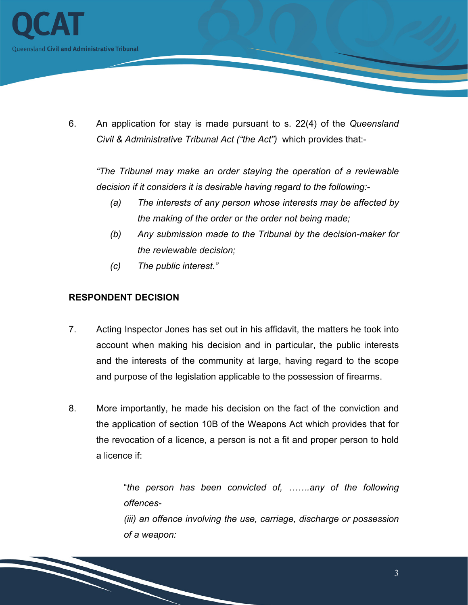

6. An application for stay is made pursuant to s. 22(4) of the *Queensland Civil & Administrative Tribunal Act ("the Act")* which provides that:-

*"The Tribunal may make an order staying the operation of a reviewable decision if it considers it is desirable having regard to the following:-*

- *(a) The interests of any person whose interests may be affected by the making of the order or the order not being made;*
- *(b) Any submission made to the Tribunal by the decision-maker for the reviewable decision;*
- *(c) The public interest."*

## **RESPONDENT DECISION**

- 7. Acting Inspector Jones has set out in his affidavit, the matters he took into account when making his decision and in particular, the public interests and the interests of the community at large, having regard to the scope and purpose of the legislation applicable to the possession of firearms.
- 8. More importantly, he made his decision on the fact of the conviction and the application of section 10B of the Weapons Act which provides that for the revocation of a licence, a person is not a fit and proper person to hold a licence if:

"*the person has been convicted of, …….any of the following offences- (iii) an offence involving the use, carriage, discharge or possession of a weapon:*